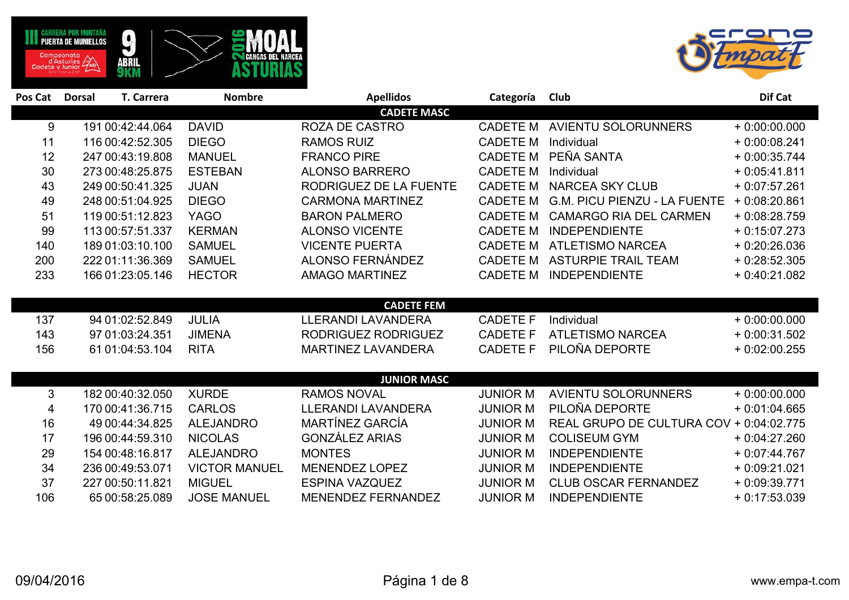



| Pos Cat | <b>Dorsal</b>    | <b>T. Carrera</b> | <b>Nombre</b>        | <b>Apellidos</b>          | Categoría       | Club                                    | Dif Cat        |
|---------|------------------|-------------------|----------------------|---------------------------|-----------------|-----------------------------------------|----------------|
|         |                  |                   |                      | <b>CADETE MASC</b>        |                 |                                         |                |
| 9       | 191 00:42:44.064 |                   | <b>DAVID</b>         | <b>ROZA DE CASTRO</b>     | <b>CADETE M</b> | <b>AVIENTU SOLORUNNERS</b>              | $+0.00:00.000$ |
| 11      | 116 00:42:52.305 |                   | <b>DIEGO</b>         | <b>RAMOS RUIZ</b>         | <b>CADETE M</b> | Individual                              | $+0.00:08.241$ |
| 12      | 247 00:43:19.808 |                   | <b>MANUEL</b>        | <b>FRANCO PIRE</b>        | <b>CADETE M</b> | PEÑA SANTA                              | $+0.00:35.744$ |
| 30      | 273 00:48:25.875 |                   | <b>ESTEBAN</b>       | <b>ALONSO BARRERO</b>     | <b>CADETE M</b> | Individual                              | $+0.05:41.811$ |
| 43      | 249 00:50:41.325 |                   | <b>JUAN</b>          | RODRIGUEZ DE LA FUENTE    | <b>CADETE M</b> | <b>NARCEA SKY CLUB</b>                  | $+0.07:57.261$ |
| 49      | 248 00:51:04.925 |                   | <b>DIEGO</b>         | <b>CARMONA MARTINEZ</b>   | <b>CADETE M</b> | <b>G.M. PICU PIENZU - LA FUENTE</b>     | $+0.08:20.861$ |
| 51      | 119 00:51:12.823 |                   | <b>YAGO</b>          | <b>BARON PALMERO</b>      | <b>CADETE M</b> | <b>CAMARGO RIA DEL CARMEN</b>           | $+0.08:28.759$ |
| 99      | 113 00:57:51.337 |                   | <b>KERMAN</b>        | <b>ALONSO VICENTE</b>     | <b>CADETE M</b> | <b>INDEPENDIENTE</b>                    | $+0.15:07.273$ |
| 140     | 189 01:03:10.100 |                   | <b>SAMUEL</b>        | <b>VICENTE PUERTA</b>     | <b>CADETE M</b> | <b>ATLETISMO NARCEA</b>                 | $+0.20:26.036$ |
| 200     | 222 01:11:36.369 |                   | <b>SAMUEL</b>        | <b>ALONSO FERNÁNDEZ</b>   | <b>CADETE M</b> | <b>ASTURPIE TRAIL TEAM</b>              | $+0.28:52.305$ |
| 233     | 166 01:23:05.146 |                   | <b>HECTOR</b>        | <b>AMAGO MARTINEZ</b>     | <b>CADETE M</b> | <b>INDEPENDIENTE</b>                    | $+0.40:21.082$ |
|         |                  |                   |                      |                           |                 |                                         |                |
|         |                  |                   |                      | <b>CADETE FEM</b>         |                 |                                         |                |
| 137     | 94 01:02:52.849  |                   | <b>JULIA</b>         | <b>LLERANDI LAVANDERA</b> | <b>CADETE F</b> | Individual                              | $+0.00:00.000$ |
| 143     | 97 01:03:24.351  |                   | <b>JIMENA</b>        | RODRIGUEZ RODRIGUEZ       | <b>CADETE F</b> | <b>ATLETISMO NARCEA</b>                 | $+0.00:31.502$ |
| 156     | 61 01:04:53.104  |                   | <b>RITA</b>          | <b>MARTINEZ LAVANDERA</b> | <b>CADETE F</b> | PILOÑA DEPORTE                          | $+0.02:00.255$ |
|         |                  |                   |                      |                           |                 |                                         |                |
|         |                  |                   |                      | <b>JUNIOR MASC</b>        |                 |                                         |                |
| 3       | 182 00:40:32.050 |                   | <b>XURDE</b>         | <b>RAMOS NOVAL</b>        | <b>JUNIOR M</b> | <b>AVIENTU SOLORUNNERS</b>              | $+0.00:00.000$ |
| 4       | 170 00:41:36.715 |                   | <b>CARLOS</b>        | <b>LLERANDI LAVANDERA</b> | <b>JUNIOR M</b> | PILOÑA DEPORTE                          | $+0.01:04.665$ |
| 16      | 49 00:44:34.825  |                   | <b>ALEJANDRO</b>     | MARTÍNEZ GARCÍA           | <b>JUNIOR M</b> | REAL GRUPO DE CULTURA COV + 0:04:02.775 |                |
| 17      | 196 00:44:59.310 |                   | <b>NICOLAS</b>       | <b>GONZÁLEZ ARIAS</b>     | <b>JUNIOR M</b> | <b>COLISEUM GYM</b>                     | $+0.04:27.260$ |
| 29      | 154 00:48:16.817 |                   | <b>ALEJANDRO</b>     | <b>MONTES</b>             | <b>JUNIOR M</b> | <b>INDEPENDIENTE</b>                    | $+0.07:44.767$ |
| 34      | 236 00:49:53.071 |                   | <b>VICTOR MANUEL</b> | <b>MENENDEZ LOPEZ</b>     | <b>JUNIOR M</b> | <b>INDEPENDIENTE</b>                    | $+0.09:21.021$ |
| 37      | 227 00:50:11.821 |                   | <b>MIGUEL</b>        | <b>ESPINA VAZQUEZ</b>     | <b>JUNIOR M</b> | <b>CLUB OSCAR FERNANDEZ</b>             | $+0.09:39.771$ |
| 106     | 65 00:58:25.089  |                   | <b>JOSE MANUEL</b>   | MENENDEZ FERNANDEZ        | <b>JUNIOR M</b> | <b>INDEPENDIENTE</b>                    | $+0.17:53.039$ |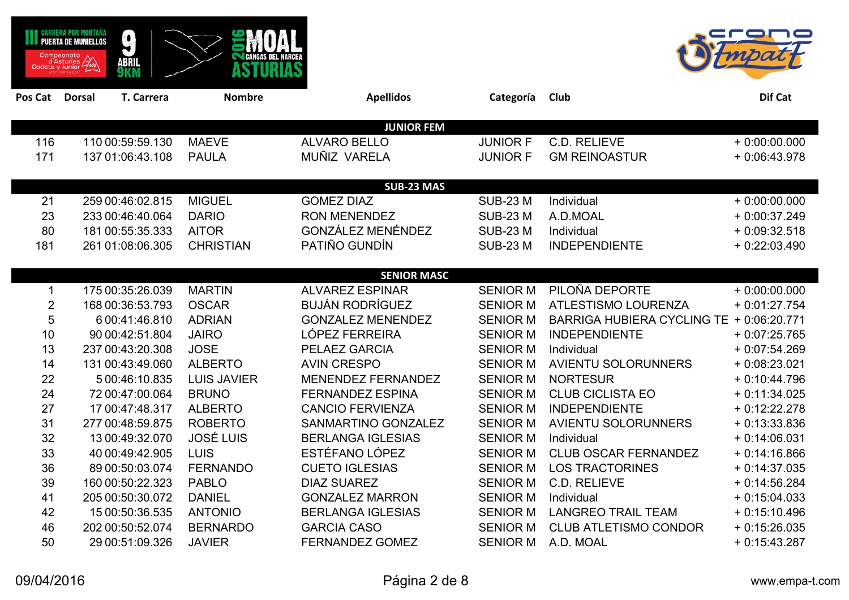|         | RRERA POR MONTANA<br><b>PUERTA DE MUNIELLOS</b><br>Campeonato<br>d'Asturies<br>Cadete y Junior | $\mathbf{r}$<br>ABRIL<br>9KM |                    |                          |                 |                                   |                |
|---------|------------------------------------------------------------------------------------------------|------------------------------|--------------------|--------------------------|-----------------|-----------------------------------|----------------|
| Pos Cat | <b>Dorsal</b>                                                                                  | T. Carrera                   | <b>Nombre</b>      | <b>Apellidos</b>         | Categoría       | Club                              | Dif Cat        |
|         |                                                                                                |                              |                    | <b>JUNIOR FEM</b>        |                 |                                   |                |
| 116     |                                                                                                | 110 00:59:59.130             | <b>MAEVE</b>       | <b>ALVARO BELLO</b>      | <b>JUNIOR F</b> | C.D. RELIEVE                      | $+0.00:00.000$ |
| 171     |                                                                                                | 137 01:06:43.108             | <b>PAULA</b>       | MUÑIZ VARELA             | <b>JUNIOR F</b> | <b>GM REINOASTUR</b>              | $+0.06:43.978$ |
|         |                                                                                                |                              |                    | <b>SUB-23 MAS</b>        |                 |                                   |                |
| 21      |                                                                                                | 259 00:46:02.815             | <b>MIGUEL</b>      | <b>GOMEZ DIAZ</b>        | <b>SUB-23 M</b> | Individual                        | $+0.00:00.000$ |
| 23      |                                                                                                | 233 00:46:40.064             | <b>DARIO</b>       | <b>RON MENENDEZ</b>      | <b>SUB-23 M</b> | A.D.MOAL                          | $+0.00:37.249$ |
| 80      |                                                                                                | 181 00:55:35.333             | <b>AITOR</b>       | <b>GONZÁLEZ MENÉNDEZ</b> | <b>SUB-23 M</b> | Individual                        | $+0.09:32.518$ |
| 181     |                                                                                                | 261 01:08:06.305             | <b>CHRISTIAN</b>   | PATIÑO GUNDÍN            | <b>SUB-23 M</b> | <b>INDEPENDIENTE</b>              | $+0.22:03.490$ |
|         |                                                                                                |                              |                    |                          |                 |                                   |                |
|         |                                                                                                |                              |                    | <b>SENIOR MASC</b>       |                 |                                   |                |
| 1       |                                                                                                | 175 00:35:26.039             | <b>MARTIN</b>      | <b>ALVAREZ ESPINAR</b>   | <b>SENIOR M</b> | PILOÑA DEPORTE                    | $+0:00:00.000$ |
| 2       |                                                                                                | 168 00:36:53.793             | <b>OSCAR</b>       | <b>BUJÁN RODRÍGUEZ</b>   | <b>SENIOR M</b> | <b>ATLESTISMO LOURENZA</b>        | $+0.01:27.754$ |
| 5       |                                                                                                | 6 00:41:46.810               | <b>ADRIAN</b>      | <b>GONZALEZ MENENDEZ</b> | <b>SENIOR M</b> | <b>BARRIGA HUBIERA CYCLING TE</b> | $+0.06:20.771$ |
| 10      |                                                                                                | 90 00:42:51.804              | <b>JAIRO</b>       | LÓPEZ FERREIRA           | <b>SENIOR M</b> | <b>INDEPENDIENTE</b>              | $+0.07:25.765$ |
| 13      |                                                                                                | 237 00:43:20.308             | <b>JOSE</b>        | PELAEZ GARCIA            | <b>SENIOR M</b> | Individual                        | $+0.07:54.269$ |
| 14      |                                                                                                | 131 00:43:49.060             | <b>ALBERTO</b>     | <b>AVIN CRESPO</b>       | <b>SENIOR M</b> | <b>AVIENTU SOLORUNNERS</b>        | $+0.08:23.021$ |
| 22      |                                                                                                | 5 00:46:10.835               | <b>LUIS JAVIER</b> | MENENDEZ FERNANDEZ       | <b>SENIOR M</b> | <b>NORTESUR</b>                   | $+0:10:44.796$ |
| 24      |                                                                                                | 72 00:47:00.064              | <b>BRUNO</b>       | <b>FERNANDEZ ESPINA</b>  | <b>SENIOR M</b> | <b>CLUB CICLISTA EO</b>           | $+0:11:34.025$ |
| 27      |                                                                                                | 17 00:47:48.317              | <b>ALBERTO</b>     | <b>CANCIO FERVIENZA</b>  | <b>SENIOR M</b> | <b>INDEPENDIENTE</b>              | $+0:12:22.278$ |
| 31      |                                                                                                | 277 00:48:59.875             | <b>ROBERTO</b>     | SANMARTINO GONZALEZ      | <b>SENIOR M</b> | <b>AVIENTU SOLORUNNERS</b>        | $+0:13:33.836$ |
| 32      |                                                                                                | 13 00:49:32.070              | <b>JOSÉ LUIS</b>   | <b>BERLANGA IGLESIAS</b> | <b>SENIOR M</b> | Individual                        | $+0:14:06.031$ |
| 33      |                                                                                                | 40 00:49:42.905              | <b>LUIS</b>        | ESTÉFANO LÓPEZ           | <b>SENIOR M</b> | <b>CLUB OSCAR FERNANDEZ</b>       | $+0:14:16.866$ |
| 36      |                                                                                                | 89 00:50:03.074              | <b>FERNANDO</b>    | <b>CUETO IGLESIAS</b>    | <b>SENIOR M</b> | <b>LOS TRACTORINES</b>            | $+0:14:37.035$ |
| 39      |                                                                                                | 160 00:50:22.323             | <b>PABLO</b>       | <b>DIAZ SUAREZ</b>       | <b>SENIOR M</b> | C.D. RELIEVE                      | $+0:14:56.284$ |
| 41      |                                                                                                | 205 00:50:30.072             | <b>DANIEL</b>      | <b>GONZALEZ MARRON</b>   | <b>SENIOR M</b> | Individual                        | $+0:15:04.033$ |
| 42      |                                                                                                | 15 00:50:36.535              | <b>ANTONIO</b>     | <b>BERLANGA IGLESIAS</b> | <b>SENIOR M</b> | <b>LANGREO TRAIL TEAM</b>         | $+0:15:10.496$ |
| 46      |                                                                                                | 202 00:50:52.074             | <b>BERNARDO</b>    | <b>GARCIA CASO</b>       | <b>SENIOR M</b> | <b>CLUB ATLETISMO CONDOR</b>      | $+0:15:26.035$ |
| 50      |                                                                                                | 29 00:51:09.326              | <b>JAVIER</b>      | <b>FERNANDEZ GOMEZ</b>   | <b>SENIOR M</b> | A.D. MOAL                         | $+0:15:43.287$ |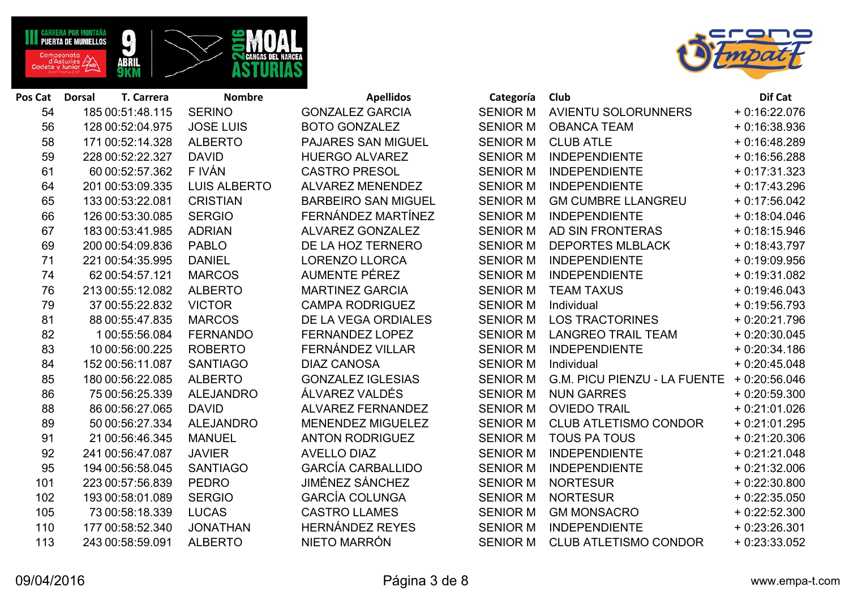



| Pos Cat | <b>Dorsal</b>    | T. Carrera      | <b>Nombre</b>       | <b>Apellidos</b>           | Categoría       | Club                         | Dif Cat        |
|---------|------------------|-----------------|---------------------|----------------------------|-----------------|------------------------------|----------------|
| 54      | 185 00:51:48.115 |                 | <b>SERINO</b>       | <b>GONZALEZ GARCIA</b>     | <b>SENIOR M</b> | AVIENTU SOLORUNNERS          | $+0.16:22.076$ |
| 56      | 128 00:52:04.975 |                 | <b>JOSE LUIS</b>    | <b>BOTO GONZALEZ</b>       | <b>SENIOR M</b> | <b>OBANCA TEAM</b>           | $+0.16.38.936$ |
| 58      | 171 00:52:14.328 |                 | <b>ALBERTO</b>      | <b>PAJARES SAN MIGUEL</b>  | <b>SENIOR M</b> | <b>CLUB ATLE</b>             | $+0.16:48.289$ |
| 59      | 228 00:52:22.327 |                 | <b>DAVID</b>        | <b>HUERGO ALVAREZ</b>      | <b>SENIOR M</b> | <b>INDEPENDIENTE</b>         | $+0.16:56.288$ |
| 61      |                  | 60 00:52:57.362 | F IVÁN              | <b>CASTRO PRESOL</b>       | <b>SENIOR M</b> | <b>INDEPENDIENTE</b>         | $+0:17:31.323$ |
| 64      | 201 00:53:09.335 |                 | <b>LUIS ALBERTO</b> | <b>ALVAREZ MENENDEZ</b>    | <b>SENIOR M</b> | <b>INDEPENDIENTE</b>         | $+0:17:43.296$ |
| 65      | 133 00:53:22.081 |                 | <b>CRISTIAN</b>     | <b>BARBEIRO SAN MIGUEL</b> | <b>SENIOR M</b> | <b>GM CUMBRE LLANGREU</b>    | $+0:17:56.042$ |
| 66      | 126 00:53:30.085 |                 | <b>SERGIO</b>       | FERNÁNDEZ MARTÍNEZ         | <b>SENIOR M</b> | <b>INDEPENDIENTE</b>         | $+0.18.04.046$ |
| 67      | 183 00:53:41.985 |                 | <b>ADRIAN</b>       | ALVAREZ GONZALEZ           | <b>SENIOR M</b> | AD SIN FRONTERAS             | $+0.18:15.946$ |
| 69      | 200 00:54:09.836 |                 | <b>PABLO</b>        | DE LA HOZ TERNERO          | <b>SENIOR M</b> | <b>DEPORTES MLBLACK</b>      | $+0.18:43.797$ |
| 71      | 221 00:54:35.995 |                 | <b>DANIEL</b>       | <b>LORENZO LLORCA</b>      | <b>SENIOR M</b> | <b>INDEPENDIENTE</b>         | $+0.19.09.956$ |
| 74      |                  | 62 00:54:57.121 | <b>MARCOS</b>       | <b>AUMENTE PÉREZ</b>       | <b>SENIOR M</b> | <b>INDEPENDIENTE</b>         | $+0.19.31.082$ |
| 76      | 213 00:55:12.082 |                 | <b>ALBERTO</b>      | <b>MARTINEZ GARCIA</b>     | <b>SENIOR M</b> | <b>TEAM TAXUS</b>            | $+0.19:46.043$ |
| 79      |                  | 37 00:55:22.832 | <b>VICTOR</b>       | <b>CAMPA RODRIGUEZ</b>     | <b>SENIOR M</b> | Individual                   | $+0.19.56.793$ |
| 81      |                  | 88 00:55:47.835 | <b>MARCOS</b>       | DE LA VEGA ORDIALES        | <b>SENIOR M</b> | <b>LOS TRACTORINES</b>       | $+0.20:21.796$ |
| 82      |                  | 1 00:55:56.084  | <b>FERNANDO</b>     | FERNANDEZ LOPEZ            | <b>SENIOR M</b> | <b>LANGREO TRAIL TEAM</b>    | $+0.20:30.045$ |
| 83      |                  | 10 00:56:00.225 | <b>ROBERTO</b>      | FERNÁNDEZ VILLAR           | <b>SENIOR M</b> | <b>INDEPENDIENTE</b>         | $+0.20.34.186$ |
| 84      | 152 00:56:11.087 |                 | <b>SANTIAGO</b>     | <b>DIAZ CANOSA</b>         | <b>SENIOR M</b> | Individual                   | $+0.20:45.048$ |
| 85      | 180 00:56:22.085 |                 | <b>ALBERTO</b>      | <b>GONZALEZ IGLESIAS</b>   | <b>SENIOR M</b> | G.M. PICU PIENZU - LA FUENTE | $+0.20:56.046$ |
| 86      |                  | 75 00:56:25.339 | <b>ALEJANDRO</b>    | ÁLVAREZ VALDÉS             | <b>SENIOR M</b> | <b>NUN GARRES</b>            | $+0.20:59.300$ |
| 88      |                  | 86 00:56:27.065 | <b>DAVID</b>        | <b>ALVAREZ FERNANDEZ</b>   | <b>SENIOR M</b> | <b>OVIEDO TRAIL</b>          | $+0.21:01.026$ |
| 89      |                  | 50 00:56:27.334 | <b>ALEJANDRO</b>    | <b>MENENDEZ MIGUELEZ</b>   | <b>SENIOR M</b> | <b>CLUB ATLETISMO CONDOR</b> | $+0.21:01.295$ |
| 91      |                  | 21 00:56:46.345 | <b>MANUEL</b>       | <b>ANTON RODRIGUEZ</b>     | <b>SENIOR M</b> | <b>TOUS PA TOUS</b>          | $+0.21:20.306$ |
| 92      | 241 00:56:47.087 |                 | <b>JAVIER</b>       | <b>AVELLO DIAZ</b>         | <b>SENIOR M</b> | <b>INDEPENDIENTE</b>         | $+0.21:21.048$ |
| 95      | 194 00:56:58.045 |                 | <b>SANTIAGO</b>     | <b>GARCÍA CARBALLIDO</b>   | <b>SENIOR M</b> | <b>INDEPENDIENTE</b>         | $+0.21:32.006$ |
| 101     | 223 00:57:56.839 |                 | <b>PEDRO</b>        | <b>JIMÉNEZ SÁNCHEZ</b>     | <b>SENIOR M</b> | <b>NORTESUR</b>              | $+0.22:30.800$ |
| 102     | 193 00:58:01.089 |                 | <b>SERGIO</b>       | <b>GARCÍA COLUNGA</b>      | <b>SENIOR M</b> | <b>NORTESUR</b>              | $+0.22:35.050$ |
| 105     |                  | 73 00:58:18.339 | <b>LUCAS</b>        | <b>CASTRO LLAMES</b>       | <b>SENIOR M</b> | <b>GM MONSACRO</b>           | $+0.22:52.300$ |
| 110     | 177 00:58:52.340 |                 | <b>JONATHAN</b>     | <b>HERNÁNDEZ REYES</b>     | <b>SENIOR M</b> | <b>INDEPENDIENTE</b>         | $+0.23:26.301$ |
| 113     | 243 00:58:59.091 |                 | <b>ALBERTO</b>      | NIETO MARRÓN               | <b>SENIOR M</b> | <b>CLUB ATLETISMO CONDOR</b> | $+0.23:33.052$ |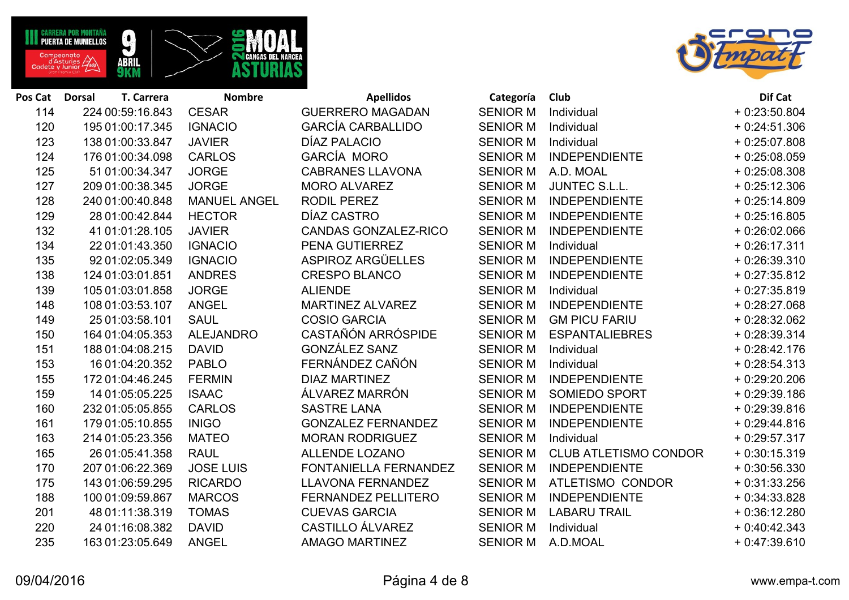



| Pos Cat | T. Carrera<br><b>Dorsal</b> | <b>Nombre</b>       | <b>Apellidos</b>             | Categoría       | Club                         | Dif Cat        |
|---------|-----------------------------|---------------------|------------------------------|-----------------|------------------------------|----------------|
| 114     | 224 00:59:16.843            | <b>CESAR</b>        | <b>GUERRERO MAGADAN</b>      | <b>SENIOR M</b> | Individual                   | $+0.23:50.804$ |
| 120     | 195 01:00:17.345            | <b>IGNACIO</b>      | <b>GARCÍA CARBALLIDO</b>     | <b>SENIOR M</b> | Individual                   | $+0.24:51.306$ |
| 123     | 138 01:00:33.847            | <b>JAVIER</b>       | DÍAZ PALACIO                 | <b>SENIOR M</b> | Individual                   | $+0.25:07.808$ |
| 124     | 176 01:00:34.098            | <b>CARLOS</b>       | GARCÍA MORO                  | <b>SENIOR M</b> | <b>INDEPENDIENTE</b>         | $+0.25:08.059$ |
| 125     | 51 01:00:34.347             | <b>JORGE</b>        | <b>CABRANES LLAVONA</b>      | <b>SENIOR M</b> | A.D. MOAL                    | $+0.25:08.308$ |
| 127     | 209 01:00:38.345            | <b>JORGE</b>        | <b>MORO ALVAREZ</b>          | <b>SENIOR M</b> | <b>JUNTEC S.L.L.</b>         | $+0.25:12.306$ |
| 128     | 240 01:00:40.848            | <b>MANUEL ANGEL</b> | <b>RODIL PEREZ</b>           | <b>SENIOR M</b> | <b>INDEPENDIENTE</b>         | $+0.25:14.809$ |
| 129     | 28 01:00:42.844             | <b>HECTOR</b>       | DÍAZ CASTRO                  | <b>SENIOR M</b> | <b>INDEPENDIENTE</b>         | $+0.25:16.805$ |
| 132     | 41 01:01:28.105             | <b>JAVIER</b>       | <b>CANDAS GONZALEZ-RICO</b>  | <b>SENIOR M</b> | <b>INDEPENDIENTE</b>         | $+0.26:02.066$ |
| 134     | 22 01:01:43.350             | <b>IGNACIO</b>      | PENA GUTIERREZ               | <b>SENIOR M</b> | Individual                   | $+0.26:17.311$ |
| 135     | 92 01:02:05.349             | <b>IGNACIO</b>      | ASPIROZ ARGÜELLES            | <b>SENIOR M</b> | <b>INDEPENDIENTE</b>         | $+0.26:39.310$ |
| 138     | 124 01:03:01.851            | <b>ANDRES</b>       | <b>CRESPO BLANCO</b>         | <b>SENIOR M</b> | <b>INDEPENDIENTE</b>         | $+0.27:35.812$ |
| 139     | 105 01:03:01.858            | <b>JORGE</b>        | <b>ALIENDE</b>               | <b>SENIOR M</b> | Individual                   | $+0.27:35.819$ |
| 148     | 108 01:03:53.107            | <b>ANGEL</b>        | <b>MARTINEZ ALVAREZ</b>      | <b>SENIOR M</b> | <b>INDEPENDIENTE</b>         | $+0.28:27.068$ |
| 149     | 25 01:03:58.101             | <b>SAUL</b>         | <b>COSIO GARCIA</b>          | <b>SENIOR M</b> | <b>GM PICU FARIU</b>         | $+0.28:32.062$ |
| 150     | 164 01:04:05.353            | <b>ALEJANDRO</b>    | CASTAÑÓN ARRÓSPIDE           | <b>SENIOR M</b> | <b>ESPANTALIEBRES</b>        | $+0.28:39.314$ |
| 151     | 188 01:04:08.215            | <b>DAVID</b>        | <b>GONZÁLEZ SANZ</b>         | <b>SENIOR M</b> | Individual                   | $+0.28:42.176$ |
| 153     | 16 01:04:20.352             | <b>PABLO</b>        | FERNÁNDEZ CAÑÓN              | <b>SENIOR M</b> | Individual                   | $+0.28:54.313$ |
| 155     | 172 01:04:46.245            | <b>FERMIN</b>       | <b>DIAZ MARTINEZ</b>         | <b>SENIOR M</b> | <b>INDEPENDIENTE</b>         | $+0.29:20.206$ |
| 159     | 14 01:05:05.225             | <b>ISAAC</b>        | ÁLVAREZ MARRÓN               | <b>SENIOR M</b> | <b>SOMIEDO SPORT</b>         | $+0.29.39.186$ |
| 160     | 232 01:05:05.855            | <b>CARLOS</b>       | <b>SASTRE LANA</b>           | <b>SENIOR M</b> | <b>INDEPENDIENTE</b>         | $+0.29.39.816$ |
| 161     | 179 01:05:10.855            | <b>INIGO</b>        | <b>GONZALEZ FERNANDEZ</b>    | <b>SENIOR M</b> | <b>INDEPENDIENTE</b>         | $+0.29:44.816$ |
| 163     | 214 01:05:23.356            | <b>MATEO</b>        | <b>MORAN RODRIGUEZ</b>       | <b>SENIOR M</b> | Individual                   | $+0.29:57.317$ |
| 165     | 26 01:05:41.358             | <b>RAUL</b>         | <b>ALLENDE LOZANO</b>        | <b>SENIOR M</b> | <b>CLUB ATLETISMO CONDOR</b> | $+0.30:15.319$ |
| 170     | 207 01:06:22.369            | <b>JOSE LUIS</b>    | <b>FONTANIELLA FERNANDEZ</b> | <b>SENIOR M</b> | <b>INDEPENDIENTE</b>         | $+0.30:56.330$ |
| 175     | 143 01:06:59.295            | <b>RICARDO</b>      | <b>LLAVONA FERNANDEZ</b>     | <b>SENIOR M</b> | ATLETISMO CONDOR             | $+0:31:33.256$ |
| 188     | 100 01:09:59.867            | <b>MARCOS</b>       | <b>FERNANDEZ PELLITERO</b>   | <b>SENIOR M</b> | <b>INDEPENDIENTE</b>         | $+0:34:33.828$ |
| 201     | 48 01:11:38.319             | <b>TOMAS</b>        | <b>CUEVAS GARCIA</b>         | <b>SENIOR M</b> | <b>LABARU TRAIL</b>          | $+0.36:12.280$ |
| 220     | 24 01:16:08.382             | <b>DAVID</b>        | <b>CASTILLO ÁLVAREZ</b>      | <b>SENIOR M</b> | Individual                   | $+0.40.42.343$ |
| 235     | 163 01:23:05.649            | <b>ANGEL</b>        | <b>AMAGO MARTINEZ</b>        | <b>SENIOR M</b> | A.D.MOAL                     | $+0.47:39.610$ |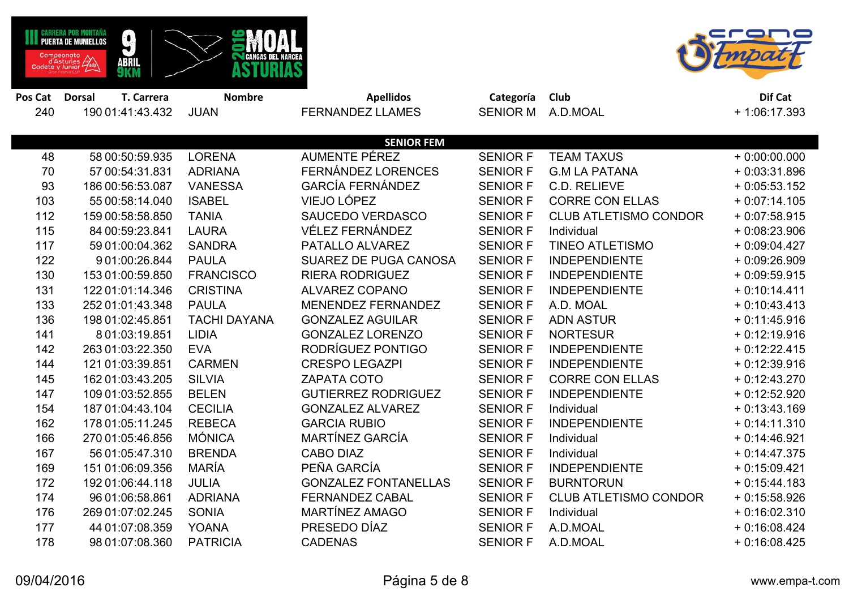|         | CARRERA POR MONTAÑA<br>$\boldsymbol{Q}$<br><b>PUERTA DE MUNIELLOS</b><br>Campeonato<br>d'Asturies<br>Cadete y Junior<br>ABRIL<br><b>9</b> KM | <b>CANGAS DEL NARCI</b> |                             |                 |                              |                |
|---------|----------------------------------------------------------------------------------------------------------------------------------------------|-------------------------|-----------------------------|-----------------|------------------------------|----------------|
| Pos Cat | T. Carrera<br><b>Dorsal</b>                                                                                                                  | <b>Nombre</b>           | <b>Apellidos</b>            | Categoría       | Club                         | Dif Cat        |
| 240     | 190 01:41:43.432                                                                                                                             | <b>JUAN</b>             | <b>FERNANDEZ LLAMES</b>     | <b>SENIOR M</b> | A.D.MOAL                     | $+1:06:17.393$ |
|         |                                                                                                                                              |                         |                             |                 |                              |                |
|         |                                                                                                                                              |                         | <b>SENIOR FEM</b>           |                 |                              |                |
| 48      | 58 00:50:59.935                                                                                                                              | <b>LORENA</b>           | <b>AUMENTE PÉREZ</b>        | <b>SENIOR F</b> | <b>TEAM TAXUS</b>            | $+0.00:00.000$ |
| 70      | 57 00:54:31.831                                                                                                                              | <b>ADRIANA</b>          | <b>FERNÁNDEZ LORENCES</b>   | <b>SENIOR F</b> | <b>G.M LA PATANA</b>         | $+0.03:31.896$ |
| 93      | 186 00:56:53.087                                                                                                                             | <b>VANESSA</b>          | <b>GARCÍA FERNÁNDEZ</b>     | <b>SENIOR F</b> | C.D. RELIEVE                 | $+0.05:53.152$ |
| 103     | 55 00:58:14.040                                                                                                                              | <b>ISABEL</b>           | <b>VIEJO LÓPEZ</b>          | <b>SENIOR F</b> | <b>CORRE CON ELLAS</b>       | $+0.07:14.105$ |
| 112     | 159 00:58:58.850                                                                                                                             | <b>TANIA</b>            | <b>SAUCEDO VERDASCO</b>     | <b>SENIOR F</b> | <b>CLUB ATLETISMO CONDOR</b> | $+0.07:58.915$ |
| 115     | 84 00:59:23.841                                                                                                                              | <b>LAURA</b>            | <b>VÉLEZ FERNÁNDEZ</b>      | <b>SENIOR F</b> | Individual                   | $+0.08:23.906$ |
| 117     | 59 01:00:04.362                                                                                                                              | <b>SANDRA</b>           | PATALLO ALVAREZ             | <b>SENIOR F</b> | <b>TINEO ATLETISMO</b>       | $+0.09:04.427$ |
| 122     | 9 01:00:26.844                                                                                                                               | <b>PAULA</b>            | SUAREZ DE PUGA CANOSA       | <b>SENIOR F</b> | <b>INDEPENDIENTE</b>         | $+0.09:26.909$ |
| 130     | 153 01:00:59.850                                                                                                                             | <b>FRANCISCO</b>        | <b>RIERA RODRIGUEZ</b>      | <b>SENIOR F</b> | <b>INDEPENDIENTE</b>         | $+0.09:59.915$ |
| 131     | 122 01:01:14.346                                                                                                                             | <b>CRISTINA</b>         | <b>ALVAREZ COPANO</b>       | <b>SENIOR F</b> | <b>INDEPENDIENTE</b>         | $+0:10:14.411$ |
| 133     | 252 01:01:43.348                                                                                                                             | <b>PAULA</b>            | <b>MENENDEZ FERNANDEZ</b>   | <b>SENIOR F</b> | A.D. MOAL                    | $+0.10:43.413$ |
| 136     | 198 01:02:45.851                                                                                                                             | <b>TACHI DAYANA</b>     | <b>GONZALEZ AGUILAR</b>     | <b>SENIOR F</b> | <b>ADN ASTUR</b>             | $+0:11:45.916$ |
| 141     | 8 01:03:19.851                                                                                                                               | <b>LIDIA</b>            | <b>GONZALEZ LORENZO</b>     | <b>SENIOR F</b> | <b>NORTESUR</b>              | $+0.12:19.916$ |
| 142     | 263 01:03:22.350                                                                                                                             | <b>EVA</b>              | RODRÍGUEZ PONTIGO           | <b>SENIOR F</b> | <b>INDEPENDIENTE</b>         | $+0.12:22.415$ |
| 144     | 121 01:03:39.851                                                                                                                             | <b>CARMEN</b>           | <b>CRESPO LEGAZPI</b>       | <b>SENIOR F</b> | <b>INDEPENDIENTE</b>         | $+0.12:39.916$ |
| 145     | 162 01:03:43.205                                                                                                                             | <b>SILVIA</b>           | <b>ZAPATA COTO</b>          | <b>SENIOR F</b> | <b>CORRE CON ELLAS</b>       | $+0.12:43.270$ |
| 147     | 109 01:03:52.855                                                                                                                             | <b>BELEN</b>            | <b>GUTIERREZ RODRIGUEZ</b>  | <b>SENIOR F</b> | <b>INDEPENDIENTE</b>         | $+0.12:52.920$ |
| 154     | 187 01:04:43.104                                                                                                                             | <b>CECILIA</b>          | <b>GONZALEZ ALVAREZ</b>     | <b>SENIOR F</b> | Individual                   | $+0:13:43.169$ |
| 162     | 178 01:05:11.245                                                                                                                             | <b>REBECA</b>           | <b>GARCIA RUBIO</b>         | <b>SENIOR F</b> | <b>INDEPENDIENTE</b>         | $+0:14:11.310$ |
| 166     | 270 01:05:46.856                                                                                                                             | <b>MÓNICA</b>           | MARTÍNEZ GARCÍA             | <b>SENIOR F</b> | Individual                   | $+0:14:46.921$ |
| 167     | 56 01:05:47.310                                                                                                                              | <b>BRENDA</b>           | <b>CABO DIAZ</b>            | <b>SENIOR F</b> | Individual                   | $+0.14:47.375$ |
| 169     | 151 01:06:09.356                                                                                                                             | <b>MARÍA</b>            | PEÑA GARCÍA                 | <b>SENIOR F</b> | <b>INDEPENDIENTE</b>         | $+0.15.09.421$ |
| 172     | 192 01:06:44.118                                                                                                                             | <b>JULIA</b>            | <b>GONZALEZ FONTANELLAS</b> | <b>SENIOR F</b> | <b>BURNTORUN</b>             | $+0:15:44.183$ |
| 174     | 96 01:06:58.861                                                                                                                              | <b>ADRIANA</b>          | <b>FERNANDEZ CABAL</b>      | <b>SENIOR F</b> | <b>CLUB ATLETISMO CONDOR</b> | $+0.15.58.926$ |
| 176     | 269 01:07:02.245                                                                                                                             | <b>SONIA</b>            | MARTÍNEZ AMAGO              | <b>SENIOR F</b> | Individual                   | $+0.16:02.310$ |
| 177     | 44 01:07:08.359                                                                                                                              | <b>YOANA</b>            | PRESEDO DÍAZ                | <b>SENIOR F</b> | A.D.MOAL                     | $+0.16.08.424$ |
| 178     | 98 01:07:08.360                                                                                                                              | <b>PATRICIA</b>         | <b>CADENAS</b>              | <b>SENIOR F</b> | A.D.MOAL                     | $+0.16:08.425$ |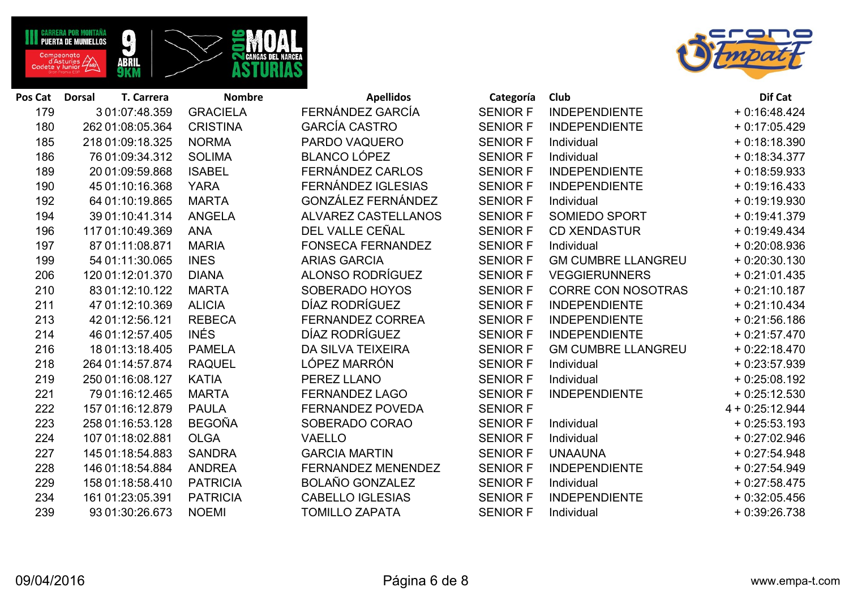



| Pos Cat | T. Carrera<br><b>Dorsal</b> | <b>Nombre</b>   | <b>Apellidos</b>           | Categoría       | Club                      | Dif Cat           |
|---------|-----------------------------|-----------------|----------------------------|-----------------|---------------------------|-------------------|
| 179     | 3 01:07:48.359              | <b>GRACIELA</b> | FERNÁNDEZ GARCÍA           | <b>SENIOR F</b> | <b>INDEPENDIENTE</b>      | $+0.16:48.424$    |
| 180     | 262 01:08:05.364            | <b>CRISTINA</b> | <b>GARCÍA CASTRO</b>       | <b>SENIOR F</b> | <b>INDEPENDIENTE</b>      | $+0.17:05.429$    |
| 185     | 218 01:09:18.325            | <b>NORMA</b>    | PARDO VAQUERO              | <b>SENIOR F</b> | Individual                | $+0.18.18.390$    |
| 186     | 76 01:09:34.312             | <b>SOLIMA</b>   | <b>BLANCO LÓPEZ</b>        | <b>SENIOR F</b> | Individual                | $+0.18:34.377$    |
| 189     | 20 01:09:59.868             | <b>ISABEL</b>   | FERNÁNDEZ CARLOS           | <b>SENIOR F</b> | <b>INDEPENDIENTE</b>      | $+0.18:59.933$    |
| 190     | 45 01:10:16.368             | <b>YARA</b>     | FERNÁNDEZ IGLESIAS         | <b>SENIOR F</b> | <b>INDEPENDIENTE</b>      | $+0.19:16.433$    |
| 192     | 64 01:10:19.865             | <b>MARTA</b>    | GONZÁLEZ FERNÁNDEZ         | <b>SENIOR F</b> | Individual                | $+0.19:19.930$    |
| 194     | 39 01:10:41.314             | <b>ANGELA</b>   | <b>ALVAREZ CASTELLANOS</b> | <b>SENIOR F</b> | SOMIEDO SPORT             | $+0.19:41.379$    |
| 196     | 117 01:10:49.369            | <b>ANA</b>      | DEL VALLE CEÑAL            | <b>SENIOR F</b> | <b>CD XENDASTUR</b>       | $+0.19:49.434$    |
| 197     | 87 01:11:08.871             | <b>MARIA</b>    | <b>FONSECA FERNANDEZ</b>   | <b>SENIOR F</b> | Individual                | $+0.20:08.936$    |
| 199     | 54 01:11:30.065             | <b>INES</b>     | <b>ARIAS GARCIA</b>        | <b>SENIOR F</b> | <b>GM CUMBRE LLANGREU</b> | $+0.20:30.130$    |
| 206     | 120 01:12:01.370            | <b>DIANA</b>    | ALONSO RODRÍGUEZ           | <b>SENIOR F</b> | <b>VEGGIERUNNERS</b>      | $+0.21:01.435$    |
| 210     | 83 01:12:10.122             | <b>MARTA</b>    | SOBERADO HOYOS             | <b>SENIOR F</b> | <b>CORRE CON NOSOTRAS</b> | $+0.21:10.187$    |
| 211     | 47 01:12:10.369             | <b>ALICIA</b>   | DÍAZ RODRÍGUEZ             | <b>SENIOR F</b> | <b>INDEPENDIENTE</b>      | $+0.21:10.434$    |
| 213     | 42 01:12:56.121             | <b>REBECA</b>   | <b>FERNANDEZ CORREA</b>    | <b>SENIOR F</b> | <b>INDEPENDIENTE</b>      | $+0.21:56.186$    |
| 214     | 46 01:12:57.405             | <b>INÉS</b>     | DÍAZ RODRÍGUEZ             | <b>SENIOR F</b> | <b>INDEPENDIENTE</b>      | $+0.21:57.470$    |
| 216     | 18 01:13:18.405             | <b>PAMELA</b>   | <b>DA SILVA TEIXEIRA</b>   | <b>SENIOR F</b> | <b>GM CUMBRE LLANGREU</b> | $+0.22:18.470$    |
| 218     | 264 01:14:57.874            | <b>RAQUEL</b>   | LÓPEZ MARRÓN               | <b>SENIOR F</b> | Individual                | $+0.23:57.939$    |
| 219     | 250 01:16:08.127            | <b>KATIA</b>    | PEREZ LLANO                | <b>SENIOR F</b> | Individual                | $+0.25:08.192$    |
| 221     | 79 01:16:12.465             | <b>MARTA</b>    | <b>FERNANDEZ LAGO</b>      | <b>SENIOR F</b> | <b>INDEPENDIENTE</b>      | $+0.25:12.530$    |
| 222     | 157 01:16:12.879            | <b>PAULA</b>    | <b>FERNANDEZ POVEDA</b>    | <b>SENIOR F</b> |                           | $4 + 0:25:12.944$ |
| 223     | 258 01:16:53.128            | <b>BEGOÑA</b>   | SOBERADO CORAO             | <b>SENIOR F</b> | Individual                | $+0.25:53.193$    |
| 224     | 107 01:18:02.881            | <b>OLGA</b>     | <b>VAELLO</b>              | <b>SENIOR F</b> | Individual                | $+0.27:02.946$    |
| 227     | 145 01:18:54.883            | <b>SANDRA</b>   | <b>GARCIA MARTIN</b>       | <b>SENIOR F</b> | <b>UNAAUNA</b>            | $+0.27:54.948$    |
| 228     | 146 01:18:54.884            | <b>ANDREA</b>   | <b>FERNANDEZ MENENDEZ</b>  | <b>SENIOR F</b> | <b>INDEPENDIENTE</b>      | $+0.27:54.949$    |
| 229     | 158 01:18:58.410            | <b>PATRICIA</b> | <b>BOLAÑO GONZALEZ</b>     | <b>SENIOR F</b> | Individual                | $+0.27:58.475$    |
| 234     | 161 01:23:05.391            | <b>PATRICIA</b> | <b>CABELLO IGLESIAS</b>    | <b>SENIOR F</b> | <b>INDEPENDIENTE</b>      | $+0.32:05.456$    |
| 239     | 93 01:30:26.673             | <b>NOEMI</b>    | <b>TOMILLO ZAPATA</b>      | <b>SENIOR F</b> | Individual                | $+0.39:26.738$    |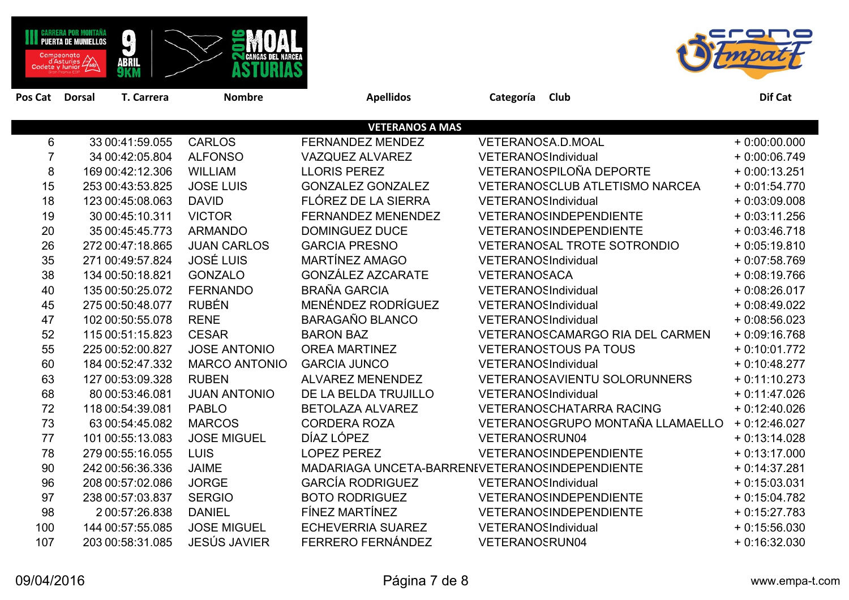|                | MONTANA<br><b>PUERTA DE MUNIELLOS</b><br>Campeonato<br>d'Asturies<br>Cadete y Junior | $\mathbf{r}$<br>ABRIL<br><b>9</b> KM | <b>ETMI CANGAS DEL NARCE</b> |                                                |                                     | O              |
|----------------|--------------------------------------------------------------------------------------|--------------------------------------|------------------------------|------------------------------------------------|-------------------------------------|----------------|
| Pos Cat        | <b>Dorsal</b>                                                                        | T. Carrera                           | <b>Nombre</b>                | <b>Apellidos</b>                               | Categoría<br>Club                   | Dif Cat        |
|                |                                                                                      |                                      |                              | <b>VETERANOS A MAS</b>                         |                                     |                |
| 6              |                                                                                      | 33 00:41:59.055                      | <b>CARLOS</b>                | FERNANDEZ MENDEZ                               | VETERANOSA.D.MOAL                   | $+0:00:00.000$ |
| $\overline{7}$ |                                                                                      | 34 00:42:05.804                      | <b>ALFONSO</b>               | VAZQUEZ ALVAREZ                                | VETERANOSIndividual                 | $+0:00:06.749$ |
| 8              |                                                                                      | 169 00:42:12.306                     | <b>WILLIAM</b>               | <b>LLORIS PEREZ</b>                            | VETERANOSPILOÑA DEPORTE             | $+0:00:13.251$ |
| 15             |                                                                                      | 253 00:43:53.825                     | <b>JOSE LUIS</b>             | <b>GONZALEZ GONZALEZ</b>                       | VETERANOSCLUB ATLETISMO NARCEA      | $+0:01:54.770$ |
| 18             |                                                                                      | 123 00:45:08.063                     | <b>DAVID</b>                 | FLÓREZ DE LA SIERRA                            | <b>VETERANOSIndividual</b>          | $+0.03:09.008$ |
| 19             |                                                                                      | 30 00:45:10.311                      | <b>VICTOR</b>                | <b>FERNANDEZ MENENDEZ</b>                      | VETERANOSINDEPENDIENTE              | $+0.03:11.256$ |
| 20             |                                                                                      | 35 00:45:45.773                      | <b>ARMANDO</b>               | <b>DOMINGUEZ DUCE</b>                          | VETERANOSINDEPENDIENTE              | $+0.03:46.718$ |
| 26             |                                                                                      | 272 00:47:18.865                     | <b>JUAN CARLOS</b>           | <b>GARCIA PRESNO</b>                           | <b>VETERANOSAL TROTE SOTRONDIO</b>  | $+0.05:19.810$ |
| 35             |                                                                                      | 271 00:49:57.824                     | <b>JOSÉ LUIS</b>             | MARTÍNEZ AMAGO                                 | <b>VETERANOSIndividual</b>          | $+0.07:58.769$ |
| 38             |                                                                                      | 134 00:50:18.821                     | <b>GONZALO</b>               | <b>GONZÁLEZ AZCARATE</b>                       | VETERANOSACA                        | $+0.08:19.766$ |
| 40             |                                                                                      | 135 00:50:25.072                     | <b>FERNANDO</b>              | <b>BRAÑA GARCIA</b>                            | <b>VETERANOSIndividual</b>          | $+0.08:26.017$ |
| 45             |                                                                                      | 275 00:50:48.077                     | <b>RUBÉN</b>                 | MENÉNDEZ RODRÍGUEZ                             | VETERANOSIndividual                 | $+0.08:49.022$ |
| 47             |                                                                                      | 102 00:50:55.078                     | <b>RENE</b>                  | <b>BARAGAÑO BLANCO</b>                         | <b>VETERANOSIndividual</b>          | $+0.08:56.023$ |
| 52             |                                                                                      | 115 00:51:15.823                     | <b>CESAR</b>                 | <b>BARON BAZ</b>                               | VETERANOSCAMARGO RIA DEL CARMEN     | $+0.09:16.768$ |
| 55             |                                                                                      | 225 00:52:00.827                     | <b>JOSE ANTONIO</b>          | <b>OREA MARTINEZ</b>                           | <b>VETERANOSTOUS PA TOUS</b>        | $+0:10:01.772$ |
| 60             |                                                                                      | 184 00:52:47.332                     | <b>MARCO ANTONIO</b>         | <b>GARCIA JUNCO</b>                            | VETERANOSIndividual                 | $+0.10:48.277$ |
| 63             |                                                                                      | 127 00:53:09.328                     | <b>RUBEN</b>                 | <b>ALVAREZ MENENDEZ</b>                        | <b>VETERANOSAVIENTU SOLORUNNERS</b> | $+0:11:10.273$ |
| 68             |                                                                                      | 80 00:53:46.081                      | <b>JUAN ANTONIO</b>          | DE LA BELDA TRUJILLO                           | <b>VETERANOSIndividual</b>          | $+0:11:47.026$ |
| 72             |                                                                                      | 118 00:54:39.081                     | <b>PABLO</b>                 | <b>BETOLAZA ALVAREZ</b>                        | <b>VETERANOSCHATARRA RACING</b>     | $+0.12:40.026$ |
| 73             |                                                                                      | 63 00:54:45.082                      | <b>MARCOS</b>                | <b>CORDERA ROZA</b>                            | VETERANOSGRUPO MONTAÑA LLAMAELLO    | $+0.12:46.027$ |
| 77             |                                                                                      | 101 00:55:13.083                     | <b>JOSE MIGUEL</b>           | DÍAZ LÓPEZ                                     | VETERANOSRUN04                      | $+0:13:14.028$ |
| 78             |                                                                                      | 279 00:55:16.055                     | <b>LUIS</b>                  | <b>LOPEZ PEREZ</b>                             | VETERANOSINDEPENDIENTE              | $+0:13:17.000$ |
| 90             |                                                                                      | 242 00:56:36.336                     | <b>JAIME</b>                 | MADARIAGA UNCETA-BARRENIVETERANOSINDEPENDIENTE |                                     | $+0:14:37.281$ |
| 96             |                                                                                      | 208 00:57:02.086                     | <b>JORGE</b>                 | <b>GARCÍA RODRIGUEZ</b>                        | VETERANOSIndividual                 | $+0:15:03.031$ |
| 97             |                                                                                      | 238 00:57:03.837                     | <b>SERGIO</b>                | <b>BOTO RODRIGUEZ</b>                          | VETERANOSINDEPENDIENTE              | $+0:15:04.782$ |
| 98             |                                                                                      | 2 00:57:26.838                       | <b>DANIEL</b>                | FÍNEZ MARTÍNEZ                                 | VETERANOSINDEPENDIENTE              | $+0:15:27.783$ |
| 100            |                                                                                      | 144 00:57:55.085                     | <b>JOSE MIGUEL</b>           | <b>ECHEVERRIA SUAREZ</b>                       | <b>VETERANOSIndividual</b>          | $+0.15:56.030$ |
| 107            |                                                                                      | 203 00:58:31.085                     | <b>JESÚS JAVIER</b>          | FERRERO FERNÁNDEZ                              | <b>VETERANOSRUN04</b>               | $+0.16.32.030$ |